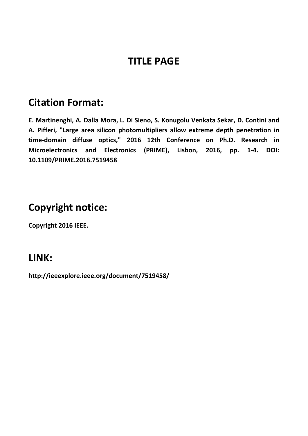# **TITLE PAGE**

### **Citation Format:**

**E. Martinenghi, A. Dalla Mora, L. Di Sieno, S. Konugolu Venkata Sekar, D. Contini and A. Pifferi, "Large area silicon photomultipliers allow extreme depth penetration in time‐domain diffuse optics," 2016 12th Conference on Ph.D. Research in Microelectronics and Electronics (PRIME), Lisbon, 2016, pp. 1‐4. DOI: 10.1109/PRIME.2016.7519458** 

# **Copyright notice:**

**Copyright 2016 IEEE.** 

### **LINK:**

**http://ieeexplore.ieee.org/document/7519458/**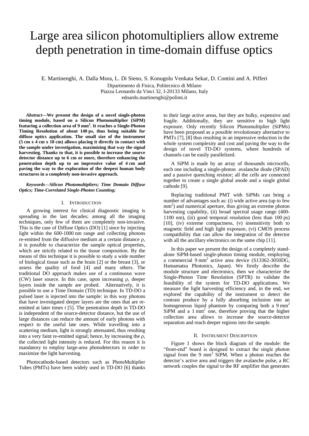# Large area silicon photomultipliers allow extreme depth penetration in time-domain diffuse optics

E. Martinenghi, A. Dalla Mora, L. Di Sieno, S. Konugolu Venkata Sekar, D. Contini and A. Pifferi Dipartimento di Fisica, Politecnico di Milano

Piazza Leonardo da Vinci 32, I-20133 Milano, Italy

edoardo.martinenghi@polimi.it

*Abstract***—We present the design of a novel single-photon timing module, based on a Silicon Photomultiplier (SiPM) featuring a collection area of 9 mm<sup>2</sup> . It reaches a Single-Photon Timing Resolution of about 140 ps, thus being suitable for diffuse optics application. The small size of the instrument (5 cm x 4 cm x 10 cm) allows placing it directly in contact with the sample under investigation, maximizing that way the signal harvesting. Thanks to that, it is possible to increase the source detector distance up to 6 cm or more, therefore enhancing the penetration depth up to an impressive value of 4 cm and paving the way to the exploration of the deepest human body structures in a completely non-invasive approach.**

#### *Keywords—Silicon Photomultipliers; Time Domain Diffuse Optics; Time-Correlated Single-Photon Counting;*

#### I. INTRODUCTION

A growing interest for clinical diagnostic imaging is spreading in the last decades; among all the imaging techniques, only few of them are completely non-invasive. This is the case of Diffuse Optics (DO) [1] since by injecting light within the 600-1000 nm range and collecting photons re-emitted from the diffusive medium at a certain distance  $\rho$ , it is possible to characterize the sample optical properties, which are strictly related to the tissue composition. By the means of this technique it is possible to study a wide number of biological tissue such as the brain [2] or the breast [3], or assess the quality of food [4] and many others. The traditional DO approach makes use of a continuous wave  $(CW)$  laser source. In this case, upon increasing  $\rho$ , deeper layers inside the sample are probed. Alternatively, it is possible to use a Time Domain (TD) technique. In TD-DO a pulsed laser is injected into the sample: in this way photons that have investigated deeper layers are the ones that are reemitted at later times *t* [5]. The penetration depth in TD-DO is independent of the source-detector distance, but the use of large distances can reduce the amount of early photons with respect to the useful late ones. While travelling into a scattering medium, light is strongly attenuated, thus resulting into a very faint re-emitted signal; hence, by increasing the  $\rho$ , the collected light intensity is reduced. For this reason it is mandatory to employ large-area photodetectors in order to maximize the light harvesting.

Photocathode-based detectors such as PhotoMultiplier Tubes (PMTs) have been widely used in TD-DO [6] thanks

to their large active areas, but they are bulky, expensive and fragile. Additionally, they are sensitive to high light exposure. Only recently Silicon Photomultiplier (SiPMs) have been proposed as a possible revolutionary alternative to PMTs [7], [8] thus resulting in an impressive reduction in the whole system complexity and cost and paving the way to the design of novel TD-DO systems, where hundreds of channels can be easily parallelized.

A SiPM is made by an array of thousands microcells, each one including a single-photon avalanche diode (SPAD) and a passive quenching resistor; all the cells are connected together to create a single global anode and a single global cathode [9].

Replacing traditional PMT with SiPMs can bring a number of advantages such as: (i) wide active area (up to few mm<sup>2</sup>) and numerical aperture, thus giving an extreme photon harvesting capability, (ii) broad spectral usage range (400-1100 nm), (iii) good temporal resolution (less than 100 ps) [10], (iv) extreme compactness, (v) insensitivity both to magnetic field and high light exposure, (vi) CMOS process compatibility that can allow the integration of the detector with all the ancillary electronics on the same chip [11].

In this paper we present the design of a completely standalone SiPM-based single-photon timing module, employing a commercial 9 mm<sup>2</sup> active area device  $(S13362-3050DG,$ Hamamatsu Photonics, Japan). We firstly describe the module structure and electronics, then we characterize the Single-Photon Time Resolution (SPTR) to validate the feasibility of the system for TD-DO applications. We measure the light harvesting efficiency and, in the end, we explored the capability of the instrument to detect the contrast produce by a fully absorbing inclusion into an homogeneous liquid phantom by comparing both a 9 mm<sup>2</sup> SiPM and a 1 mm<sup>2</sup> one, therefore proving that the higher collection area allows to increase the source-detector separation and reach deeper regions into the sample.

#### II. INSTRUMENT DESCRIPTION

Figure 1 shows the block diagram of the module: the "front-end" board is designed to extract the single photon signal from the 9 mm<sup>2</sup> SiPM. When a photon reaches the detector's active area and triggers the avalanche pulse, a RC network couples the signal to the RF amplifier that generates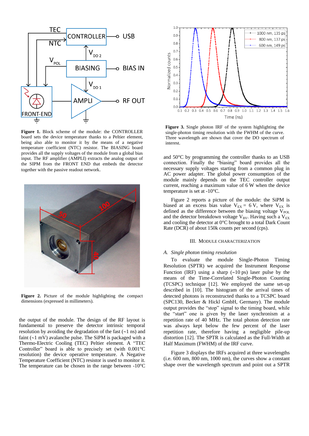

**Figure 1.** Block scheme of the module: the CONTROLLER board sets the device temperature thanks to a Peltier element, being also able to monitor it by the means of a negative temperature coefficient (NTC) resistor. The BIASING board provides all the supply voltages of the module from a global bias input. The RF amplifier (AMPLI) extracts the analog output of the SIPM from the FRONT END that embeds the detector together with the passive readout network.



**Figure 2.** Picture of the module highlighting the compact dimensions (expressed in millimeters).

the output of the module. The design of the RF layout is fundamental to preserve the detector intrinsic temporal resolution by avoiding the degradation of the fast  $(-1 \text{ ns})$  and faint  $(-1 \text{ mV})$  avalanche pulse. The SiPM is packaged with a Thermo-Electric Cooling (TEC) Peltier element. A "TEC Controller" board is able to precisely set (with 0.001°C resolution) the device operative temperature. A Negative Temperature Coefficient (NTC) resistor is used to monitor it. The temperature can be chosen in the range between -10°C



**Figure 3.** Single photon IRF of the system highlighting the single-photon timing resolution with the FWHM of the curve. Three wavelength are shown that cover the DO spectrum of interest.

and 50°C by programming the controller thanks to an USB connection. Finally the "biasing" board provides all the necessary supply voltages starting from a common plug in AC power adapter. The global power consumption of the module mainly depends on the TEC controller output current, reaching a maximum value of 6 W when the device temperature is set at -10°C.

Figure 2 reports a picture of the module: the SiPM is biased at an excess bias value  $V_{EX} = 6 V$ , where  $V_{EX}$  is defined as the difference between the biasing voltage  $V_{POL}$ and the detector breakdown voltage  $V_{BV}$ . Having such a  $V_{EX}$ and cooling the detector at 0°C brought to a total Dark Count Rate (DCR) of about 150k counts per second (cps).

#### III. MODULE CHARACTERIZATION

#### *A. Single photon timing resolution*

To evaluate the module Single-Photon Timing Resolution (SPTR) we acquired the Instrument Response Function (IRF) using a sharp  $(\sim 10 \text{ ps})$  laser pulse by the means of the Time-Correlated Single-Photon Counting (TCSPC) technique [12]. We employed the same set-up described in [10]. The histogram of the arrival times of detected photons is reconstructed thanks to a TCSPC board (SPC130, Becker & Hickl GmbH, Germany). The module output provides the "stop" signal to the timing board, while the "start" one is given by the laser synchronism at a repetition rate of 40 MHz. The total photon detection rate was always kept below the few percent of the laser repetition rate, therefore having a negligible pile-up distortion [12]. The SPTR is calculated as the Full-Width at Half Maximum (FWHM) of the IRF curve.

Figure 3 displays the IRFs acquired at three wavelengths (i.e. 600 nm, 800 nm, 1000 nm), the curves show a constant shape over the wavelength spectrum and point out a SPTR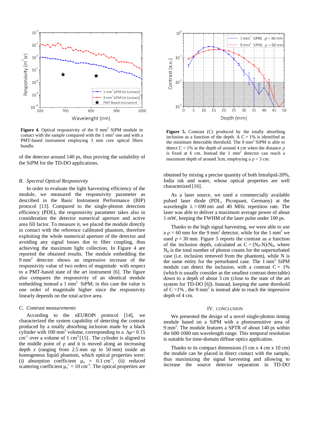

**Figure 4.** Optical responsivity of the 9 mm<sup>2</sup> SiPM module in contact with the sample compared with the  $1 \text{ mm}^2$  one and with a PMT-based instrument employing 3 mm core optical fibers bundle.

of the detector around 140 ps, thus proving the suitability of the SiPM for the TD-DO applications.

#### *B. Spectral Optical Responsivity*

In order to evaluate the light harvesting efficiency of the module, we measured the responsivity parameter as described in the Basic Instrument Performance (BIP) protocol [13]. Compared to the single-photon detection efficiency (PDE), the responsivity parameter takes also in consideration the detector numerical aperture and active area fill factor. To measure it, we placed the module directly in contact with the reference calibrated phantom, therefore exploiting the whole numerical aperture of the detector and avoiding any signal losses due to fiber coupling, thus achieving the maximum light collection. In Figure 4 are reported the obtained results. The module embedding the 9 mm<sup>2</sup> detector shows an impressive increase of the responsivity value of two orders of magnitude with respect to a PMT-based state of the art instrument [6]. The figure also compares the responsivity of an identical module embedding instead a  $1 \text{ mm}^2$  SiPM; in this case the value is one order of magnitude higher since the responsivity linearly depends on the total active area.

#### *C. Contrast measurements*

According to the nEUROPt protocol [14], we characterized the system capability of detecting the contrast produced by a totally absorbing inclusion made by a black cylinder with 100 mm<sup>3</sup> volume, corresponding to a  $\Delta \mu$  = 0.15  $\text{cm}^{-1}$  over a volume of 1 cm<sup>3</sup> [15]. The cylinder is aligned to the middle point of  $\rho$  and it is moved along an increasing depth *z* (ranging from 2.5 mm up to 50 mm) inside an homogeneus liquid phantom, which optical properties were: (i) absorption coefficient  $\mu_a = 0.1 \text{ cm}^{-1}$ , (ii) reduced scattering coefficient  $\mu$ <sub>s</sub>' = 10 cm<sup>-1</sup>. The optical properties are



Figure 5. Contrast (C) produced by the totally absorbing inclusion as a function of the depth. A  $C = 1\%$  is identified as the minimum detectable threshold. The 9 mm<sup>2</sup> SiPM is able to detect  $C = 1\%$  at the depth of around 4 cm when the distance  $\rho$ is fixed at  $6 \text{ cm}$ . Instead the  $1 \text{ mm}^2$  detector can reach a maximum depth of around 3cm, employing a  $\rho = 3$  cm.

obtained by mixing a precise quantity of both Intralipid-20%, India ink and water, whose optical properties are well characterized [16].

As a laser source, we used a commercially available pulsed laser diode (PDL, Picoquant, Germany) at the wavelenght  $\lambda = 690$  nm and 40 MHz repetition rate. The laser was able to deliver a maximum average power of about 1 mW, keeping the FWHM of the laser pulse under 100 ps.

Thanks to the high signal harvesting, we were able to use a  $\rho = 60$  mm for the 9 mm<sup>2</sup> detector, while for the 1 mm<sup>2</sup> we used  $\rho = 30$  mm. Figure 5 reports the contrast as a function of the inclusion depth, calculated as  $C = (N_0-N)/N_0$ , where  $N_0$  is the total number of photon counts for the unperturbated case (i.e. inclusion removed from the phantom), while N is the same entity for the perturbated case. The 1 mm<sup>2</sup> SiPM module can detect the inclusion, with a contrast  $C = 1\%$ (which is usually consider as the smallest contrast detectable) down to a depth of about 3 cm (close to the state of the art system for TD-DO [6]). Instead, keeping the same threshold of  $C = 1\%$ , the 9 mm<sup>2</sup> is instead able to reach the impressive depth of 4 cm.

#### IV. CONCLUSION

We presented the design of a novel single-photon timing module based on a SiPM with a photosensitive area of 9 mm<sup>2</sup> . The module features a SPTR of about 140 ps within the 600-1000 nm wavelength range. This temporal resolution is suitable for time-domain diffuse optics application.

Thanks to its compact dimensions  $(5 \text{ cm } x \text{ 4 cm } x \text{ 10 cm})$ the module can be placed in direct contact with the sample, thus maximizing the signal harvesting and allowing to increase the source detector separation in TD-DO